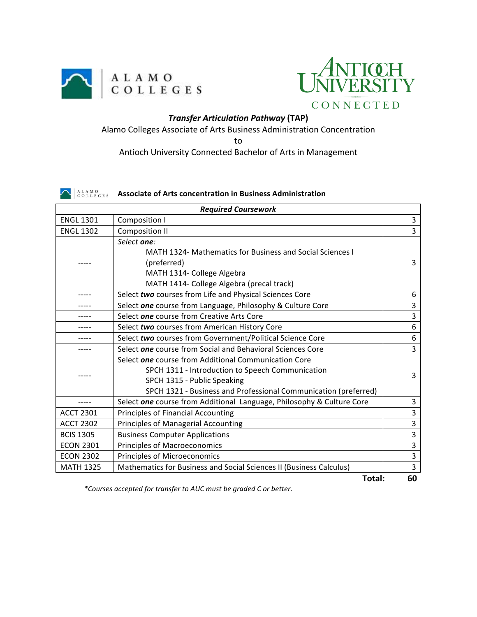



## *Transfer Articulation Pathway* **(TAP)**

Alamo Colleges Associate of Arts Business Administration Concentration

to

Antioch University Connected Bachelor of Arts in Management

## **ASSOCIATER OF Arts concentration in Business Administration**

| <b>Required Coursework</b> |                                                                       |                |
|----------------------------|-----------------------------------------------------------------------|----------------|
| <b>ENGL 1301</b>           | Composition I                                                         | 3              |
| <b>ENGL 1302</b>           | <b>Composition II</b>                                                 | $\overline{3}$ |
|                            | Select one:                                                           |                |
|                            | MATH 1324- Mathematics for Business and Social Sciences I             |                |
|                            | (preferred)                                                           | 3              |
|                            | MATH 1314- College Algebra                                            |                |
|                            | MATH 1414- College Algebra (precal track)                             |                |
|                            | Select two courses from Life and Physical Sciences Core               | 6              |
|                            | Select one course from Language, Philosophy & Culture Core            | 3              |
|                            | Select one course from Creative Arts Core                             | 3              |
|                            | Select two courses from American History Core                         | 6              |
|                            | Select two courses from Government/Political Science Core             | 6              |
|                            | Select one course from Social and Behavioral Sciences Core            | 3              |
|                            | Select one course from Additional Communication Core                  |                |
|                            | SPCH 1311 - Introduction to Speech Communication                      | 3              |
|                            | SPCH 1315 - Public Speaking                                           |                |
|                            | SPCH 1321 - Business and Professional Communication (preferred)       |                |
|                            | Select one course from Additional Language, Philosophy & Culture Core | 3              |
| <b>ACCT 2301</b>           | <b>Principles of Financial Accounting</b>                             | 3              |
| <b>ACCT 2302</b>           | <b>Principles of Managerial Accounting</b>                            | 3              |
| <b>BCIS 1305</b>           | <b>Business Computer Applications</b>                                 | 3              |
| <b>ECON 2301</b>           | <b>Principles of Macroeconomics</b>                                   | 3              |
| <b>ECON 2302</b>           | Principles of Microeconomics                                          | 3              |
| <b>MATH 1325</b>           | Mathematics for Business and Social Sciences II (Business Calculus)   | $\overline{3}$ |
| Total:                     |                                                                       | 60             |

*\*Courses accepted for transfer to AUC must be graded C or better.*